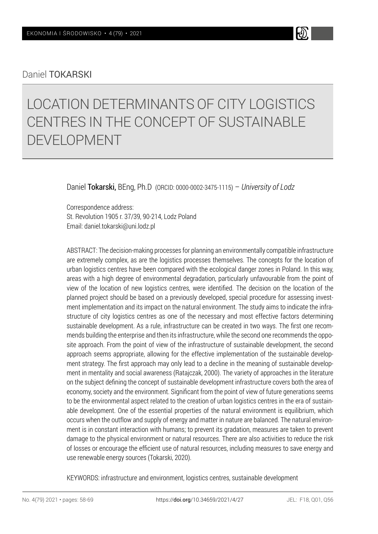## Daniel TOKARSKI

# LOCATION DETERMINANTS OF CITY LOGISTICS CENTRES IN THE CONCEPT OF SUSTAINABLE DEVELOPMENT

Daniel Tokarski, BEng, Ph.D (ORCID: 0000-0002-3475-1115) – *University of Lodz*

Correspondence address: St. Revolution 1905 r. 37/39, 90-214, Lodz Poland Email: daniel.tokarski@uni.lodz.pl

ABSTRACT: The decision-making processes for planning an environmentally compatible infrastructure are extremely complex, as are the logistics processes themselves. The concepts for the location of urban logistics centres have been compared with the ecological danger zones in Poland. In this way, areas with a high degree of environmental degradation, particularly unfavourable from the point of view of the location of new logistics centres, were identified. The decision on the location of the planned project should be based on a previously developed, special procedure for assessing investment implementation and its impact on the natural environment. The study aims to indicate the infrastructure of city logistics centres as one of the necessary and most effective factors determining sustainable development. As a rule, infrastructure can be created in two ways. The first one recommends building the enterprise and then its infrastructure, while the second one recommends the opposite approach. From the point of view of the infrastructure of sustainable development, the second approach seems appropriate, allowing for the effective implementation of the sustainable development strategy. The first approach may only lead to a decline in the meaning of sustainable development in mentality and social awareness (Ratajczak, 2000). The variety of approaches in the literature on the subject defining the concept of sustainable development infrastructure covers both the area of economy, society and the environment. Significant from the point of view of future generations seems to be the environmental aspect related to the creation of urban logistics centres in the era of sustainable development. One of the essential properties of the natural environment is equilibrium, which occurs when the outflow and supply of energy and matter in nature are balanced. The natural environment is in constant interaction with humans; to prevent its gradation, measures are taken to prevent damage to the physical environment or natural resources. There are also activities to reduce the risk of losses or encourage the efficient use of natural resources, including measures to save energy and use renewable energy sources (Tokarski, 2020).

KEYWORDS: infrastructure and environment, logistics centres, sustainable development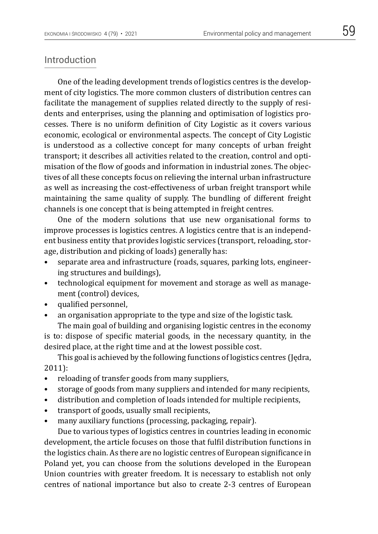## Introduction

One of the leading development trends of logistics centres is the development of city logistics. The more common clusters of distribution centres can facilitate the management of supplies related directly to the supply of residents and enterprises, using the planning and optimisation of logistics processes. There is no uniform definition of City Logistic as it covers various economic, ecological or environmental aspects. The concept of City Logistic is understood as a collective concept for many concepts of urban freight transport; it describes all activities related to the creation, control and optimisation of the flow of goods and information in industrial zones. The objectives of all these concepts focus on relieving the internal urban infrastructure as well as increasing the cost-effectiveness of urban freight transport while maintaining the same quality of supply. The bundling of different freight channels is one concept that is being attempted in freight centres.

One of the modern solutions that use new organisational forms to improve processes is logistics centres. A logistics centre that is an independent business entity that provides logistic services (transport, reloading, storage, distribution and picking of loads) generally has:

- separate area and infrastructure (roads, squares, parking lots, engineering structures and buildings),
- technological equipment for movement and storage as well as management (control) devices,
- qualified personnel,
- an organisation appropriate to the type and size of the logistic task.

The main goal of building and organising logistic centres in the economy is to: dispose of specific material goods, in the necessary quantity, in the desired place, at the right time and at the lowest possible cost.

This goal is achieved by the following functions of logistics centres (Jędra, 2011):

- reloading of transfer goods from many suppliers,
- storage of goods from many suppliers and intended for many recipients,
- distribution and completion of loads intended for multiple recipients,
- transport of goods, usually small recipients,
- many auxiliary functions (processing, packaging, repair).

Due to various types of logistics centres in countries leading in economic development, the article focuses on those that fulfil distribution functions in the logistics chain. As there are no logistic centres of European significance in Poland yet, you can choose from the solutions developed in the European Union countries with greater freedom. It is necessary to establish not only centres of national importance but also to create 2-3 centres of European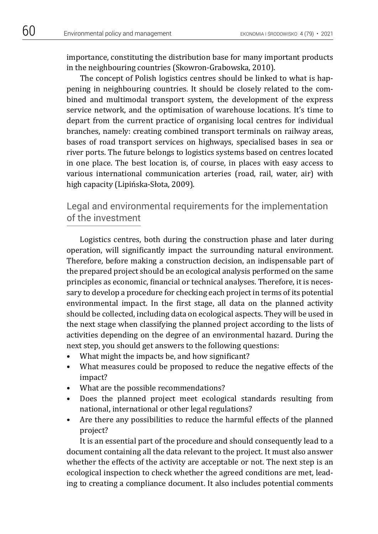importance, constituting the distribution base for many important products in the neighbouring countries (Skowron-Grabowska, 2010).

The concept of Polish logistics centres should be linked to what is happening in neighbouring countries. It should be closely related to the combined and multimodal transport system, the development of the express service network, and the optimisation of warehouse locations. It's time to depart from the current practice of organising local centres for individual branches, namely: creating combined transport terminals on railway areas, bases of road transport services on highways, specialised bases in sea or river ports. The future belongs to logistics systems based on centres located in one place. The best location is, of course, in places with easy access to various international communication arteries (road, rail, water, air) with high capacity (Lipińska-Słota, 2009).

Legal and environmental requirements for the implementation of the investment

Logistics centres, both during the construction phase and later during operation, will significantly impact the surrounding natural environment. Therefore, before making a construction decision, an indispensable part of the prepared project should be an ecological analysis performed on the same principles as economic, financial or technical analyses. Therefore, it is necessary to develop a procedure for checking each project in terms of its potential environmental impact. In the first stage, all data on the planned activity should be collected, including data on ecological aspects. They will be used in the next stage when classifying the planned project according to the lists of activities depending on the degree of an environmental hazard. During the next step, you should get answers to the following questions:

- What might the impacts be, and how significant?
- What measures could be proposed to reduce the negative effects of the impact?
- What are the possible recommendations?
- Does the planned project meet ecological standards resulting from national, international or other legal regulations?
- Are there any possibilities to reduce the harmful effects of the planned project?

It is an essential part of the procedure and should consequently lead to a document containing all the data relevant to the project. It must also answer whether the effects of the activity are acceptable or not. The next step is an ecological inspection to check whether the agreed conditions are met, leading to creating a compliance document. It also includes potential comments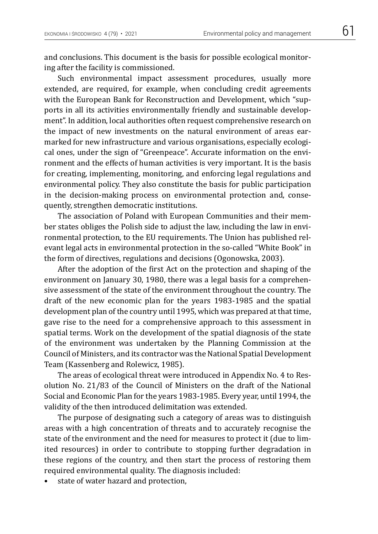and conclusions. This document is the basis for possible ecological monitoring after the facility is commissioned.

Such environmental impact assessment procedures, usually more extended, are required, for example, when concluding credit agreements with the European Bank for Reconstruction and Development, which "supports in all its activities environmentally friendly and sustainable development". In addition, local authorities often request comprehensive research on the impact of new investments on the natural environment of areas earmarked for new infrastructure and various organisations, especially ecological ones, under the sign of "Greenpeace". Accurate information on the environment and the effects of human activities is very important. It is the basis for creating, implementing, monitoring, and enforcing legal regulations and environmental policy. They also constitute the basis for public participation in the decision-making process on environmental protection and, consequently, strengthen democratic institutions.

The association of Poland with European Communities and their member states obliges the Polish side to adjust the law, including the law in environmental protection, to the EU requirements. The Union has published relevant legal acts in environmental protection in the so-called "White Book" in the form of directives, regulations and decisions (Ogonowska, 2003).

After the adoption of the first Act on the protection and shaping of the environment on January 30, 1980, there was a legal basis for a comprehensive assessment of the state of the environment throughout the country. The draft of the new economic plan for the years 1983-1985 and the spatial development plan of the country until 1995, which was prepared at that time, gave rise to the need for a comprehensive approach to this assessment in spatial terms. Work on the development of the spatial diagnosis of the state of the environment was undertaken by the Planning Commission at the Council of Ministers, and its contractor was the National Spatial Development Team (Kassenberg and Rolewicz, 1985).

The areas of ecological threat were introduced in Appendix No. 4 to Resolution No. 21/83 of the Council of Ministers on the draft of the National Social and Economic Plan for the years 1983-1985. Every year, until 1994, the validity of the then introduced delimitation was extended.

The purpose of designating such a category of areas was to distinguish areas with a high concentration of threats and to accurately recognise the state of the environment and the need for measures to protect it (due to limited resources) in order to contribute to stopping further degradation in these regions of the country, and then start the process of restoring them required environmental quality. The diagnosis included:

state of water hazard and protection,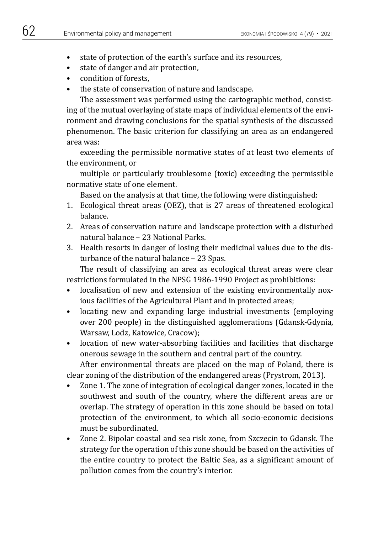- - state of protection of the earth's surface and its resources,
	- state of danger and air protection,
	- condition of forests,
	- the state of conservation of nature and landscape.

The assessment was performed using the cartographic method, consisting of the mutual overlaying of state maps of individual elements of the environment and drawing conclusions for the spatial synthesis of the discussed phenomenon. The basic criterion for classifying an area as an endangered area was:

exceeding the permissible normative states of at least two elements of the environment, or

multiple or particularly troublesome (toxic) exceeding the permissible normative state of one element.

Based on the analysis at that time, the following were distinguished:

- 1. Ecological threat areas (OEZ), that is 27 areas of threatened ecological balance.
- 2. Areas of conservation nature and landscape protection with a disturbed natural balance – 23 National Parks.
- 3. Health resorts in danger of losing their medicinal values due to the disturbance of the natural balance – 23 Spas.

The result of classifying an area as ecological threat areas were clear restrictions formulated in the NPSG 1986-1990 Project as prohibitions:

- localisation of new and extension of the existing environmentally noxious facilities of the Agricultural Plant and in protected areas;
- locating new and expanding large industrial investments (employing over 200 people) in the distinguished agglomerations (Gdansk-Gdynia, Warsaw, Lodz, Katowice, Cracow);
- location of new water-absorbing facilities and facilities that discharge onerous sewage in the southern and central part of the country.

After environmental threats are placed on the map of Poland, there is clear zoning of the distribution of the endangered areas (Prystrom, 2013).

- Zone 1. The zone of integration of ecological danger zones, located in the southwest and south of the country, where the different areas are or overlap. The strategy of operation in this zone should be based on total protection of the environment, to which all socio-economic decisions must be subordinated.
- Zone 2. Bipolar coastal and sea risk zone, from Szczecin to Gdansk. The strategy for the operation of this zone should be based on the activities of the entire country to protect the Baltic Sea, as a significant amount of pollution comes from the country's interior.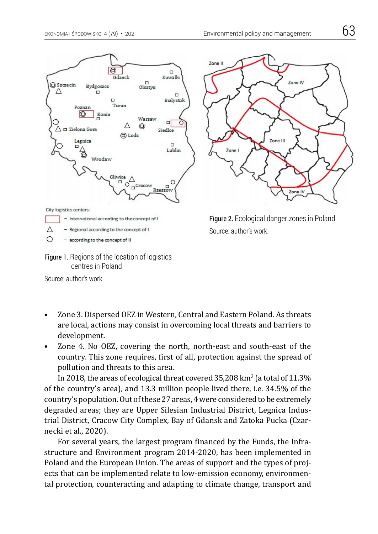



Source: author's work.

- Zone 3. Dispersed OEZ in Western, Central and Eastern Poland. As threats are local, actions may consist in overcoming local threats and barriers to development.
- Zone 4. No OEZ, covering the north, north-east and south-east of the country. This zone requires, first of all, protection against the spread of pollution and threats to this area.

In 2018, the areas of ecological threat covered  $35,208$  km<sup>2</sup> (a total of  $11.3\%$ ) of the country's area), and 13.3 million people lived there, i.e. 34.5% of the country's population. Out of these 27 areas, 4 were considered to be extremely degraded areas; they are Upper Silesian Industrial District, Legnica Industrial District, Cracow City Complex, Bay of Gdansk and Zatoka Pucka (Czarnecki et al., 2020).

For several years, the largest program financed by the Funds, the Infrastructure and Environment program 2014-2020, has been implemented in Poland and the European Union. The areas of support and the types of projects that can be implemented relate to low-emission economy, environmental protection, counteracting and adapting to climate change, transport and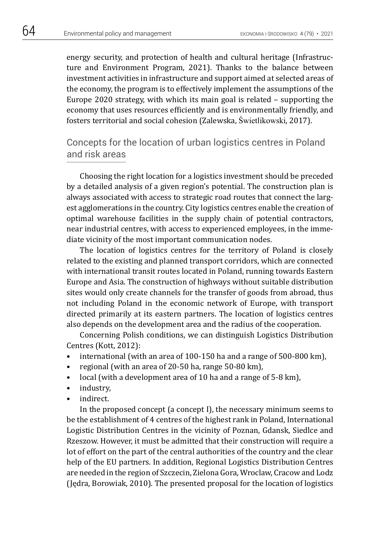energy security, and protection of health and cultural heritage (Infrastructure and Environment Program, 2021). Thanks to the balance between investment activities in infrastructure and support aimed at selected areas of the economy, the program is to effectively implement the assumptions of the Europe 2020 strategy, with which its main goal is related – supporting the economy that uses resources efficiently and is environmentally friendly, and fosters territorial and social cohesion (Zalewska, Świetlikowski, 2017).

## Concepts for the location of urban logistics centres in Poland and risk areas

Choosing the right location for a logistics investment should be preceded by a detailed analysis of a given region's potential. The construction plan is always associated with access to strategic road routes that connect the largest agglomerations in the country. City logistics centres enable the creation of optimal warehouse facilities in the supply chain of potential contractors, near industrial centres, with access to experienced employees, in the immediate vicinity of the most important communication nodes.

The location of logistics centres for the territory of Poland is closely related to the existing and planned transport corridors, which are connected with international transit routes located in Poland, running towards Eastern Europe and Asia. The construction of highways without suitable distribution sites would only create channels for the transfer of goods from abroad, thus not including Poland in the economic network of Europe, with transport directed primarily at its eastern partners. The location of logistics centres also depends on the development area and the radius of the cooperation.

Concerning Polish conditions, we can distinguish Logistics Distribution Centres (Kott, 2012):

- international (with an area of 100-150 ha and a range of 500-800 km),
- regional (with an area of 20-50 ha, range 50-80 km),
- local (with a development area of 10 ha and a range of 5-8 km),
- industry,
- indirect.

In the proposed concept (a concept I), the necessary minimum seems to be the establishment of 4 centres of the highest rank in Poland, International Logistic Distribution Centres in the vicinity of Poznan, Gdansk, Siedlce and Rzeszow. However, it must be admitted that their construction will require a lot of effort on the part of the central authorities of the country and the clear help of the EU partners. In addition, Regional Logistics Distribution Centres are needed in the region of Szczecin, Zielona Gora, Wroclaw, Cracow and Lodz (Jędra, Borowiak, 2010). The presented proposal for the location of logistics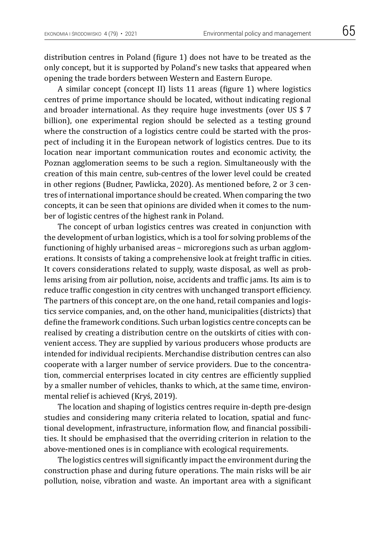distribution centres in Poland (figure 1) does not have to be treated as the only concept, but it is supported by Poland's new tasks that appeared when opening the trade borders between Western and Eastern Europe.

A similar concept (concept II) lists 11 areas (figure 1) where logistics centres of prime importance should be located, without indicating regional and broader international. As they require huge investments (over US \$ 7 billion), one experimental region should be selected as a testing ground where the construction of a logistics centre could be started with the prospect of including it in the European network of logistics centres. Due to its location near important communication routes and economic activity, the Poznan agglomeration seems to be such a region. Simultaneously with the creation of this main centre, sub-centres of the lower level could be created in other regions (Budner, Pawlicka, 2020). As mentioned before, 2 or 3 centres of international importance should be created. When comparing the two concepts, it can be seen that opinions are divided when it comes to the number of logistic centres of the highest rank in Poland.

The concept of urban logistics centres was created in conjunction with the development of urban logistics, which is a tool for solving problems of the functioning of highly urbanised areas – microregions such as urban agglomerations. It consists of taking a comprehensive look at freight traffic in cities. It covers considerations related to supply, waste disposal, as well as problems arising from air pollution, noise, accidents and traffic jams. Its aim is to reduce traffic congestion in city centres with unchanged transport efficiency. The partners of this concept are, on the one hand, retail companies and logistics service companies, and, on the other hand, municipalities (districts) that define the framework conditions. Such urban logistics centre concepts can be realised by creating a distribution centre on the outskirts of cities with convenient access. They are supplied by various producers whose products are intended for individual recipients. Merchandise distribution centres can also cooperate with a larger number of service providers. Due to the concentration, commercial enterprises located in city centres are efficiently supplied by a smaller number of vehicles, thanks to which, at the same time, environmental relief is achieved (Kryś, 2019).

The location and shaping of logistics centres require in-depth pre-design studies and considering many criteria related to location, spatial and functional development, infrastructure, information flow, and financial possibilities. It should be emphasised that the overriding criterion in relation to the above-mentioned ones is in compliance with ecological requirements.

The logistics centres will significantly impact the environment during the construction phase and during future operations. The main risks will be air pollution, noise, vibration and waste. An important area with a significant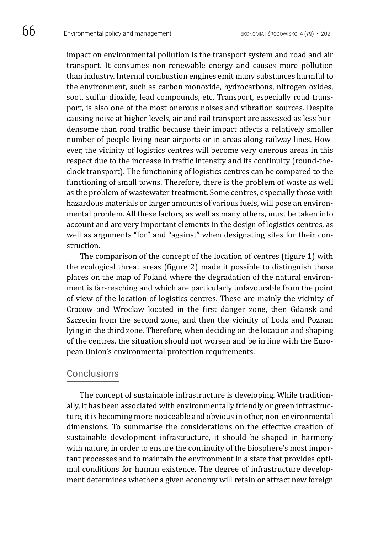impact on environmental pollution is the transport system and road and air transport. It consumes non-renewable energy and causes more pollution than industry. Internal combustion engines emit many substances harmful to the environment, such as carbon monoxide, hydrocarbons, nitrogen oxides, soot, sulfur dioxide, lead compounds, etc. Transport, especially road transport, is also one of the most onerous noises and vibration sources. Despite causing noise at higher levels, air and rail transport are assessed as less burdensome than road traffic because their impact affects a relatively smaller number of people living near airports or in areas along railway lines. However, the vicinity of logistics centres will become very onerous areas in this respect due to the increase in traffic intensity and its continuity (round-theclock transport). The functioning of logistics centres can be compared to the functioning of small towns. Therefore, there is the problem of waste as well as the problem of wastewater treatment. Some centres, especially those with hazardous materials or larger amounts of various fuels, will pose an environmental problem. All these factors, as well as many others, must be taken into account and are very important elements in the design of logistics centres, as well as arguments "for" and "against" when designating sites for their construction.

The comparison of the concept of the location of centres (figure 1) with the ecological threat areas (figure 2) made it possible to distinguish those places on the map of Poland where the degradation of the natural environment is far-reaching and which are particularly unfavourable from the point of view of the location of logistics centres. These are mainly the vicinity of Cracow and Wroclaw located in the first danger zone, then Gdansk and Szczecin from the second zone, and then the vicinity of Lodz and Poznan lying in the third zone. Therefore, when deciding on the location and shaping of the centres, the situation should not worsen and be in line with the European Union's environmental protection requirements.

### **Conclusions**

The concept of sustainable infrastructure is developing. While traditionally, it has been associated with environmentally friendly or green infrastructure, it is becoming more noticeable and obvious in other, non-environmental dimensions. To summarise the considerations on the effective creation of sustainable development infrastructure, it should be shaped in harmony with nature, in order to ensure the continuity of the biosphere's most important processes and to maintain the environment in a state that provides optimal conditions for human existence. The degree of infrastructure development determines whether a given economy will retain or attract new foreign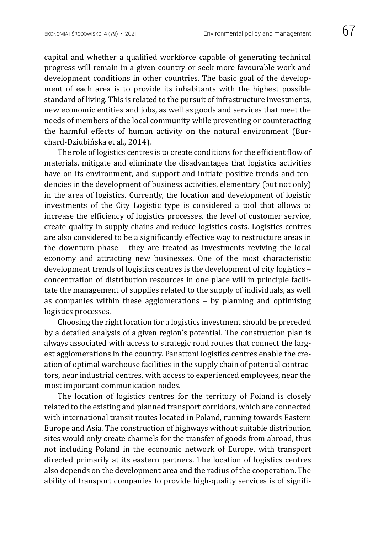capital and whether a qualified workforce capable of generating technical progress will remain in a given country or seek more favourable work and development conditions in other countries. The basic goal of the development of each area is to provide its inhabitants with the highest possible standard of living. This is related to the pursuit of infrastructure investments, new economic entities and jobs, as well as goods and services that meet the needs of members of the local community while preventing or counteracting the harmful effects of human activity on the natural environment (Burchard-Dziubińska et al., 2014).

The role of logistics centres is to create conditions for the efficient flow of materials, mitigate and eliminate the disadvantages that logistics activities have on its environment, and support and initiate positive trends and tendencies in the development of business activities, elementary (but not only) in the area of logistics. Currently, the location and development of logistic investments of the City Logistic type is considered a tool that allows to increase the efficiency of logistics processes, the level of customer service, create quality in supply chains and reduce logistics costs. Logistics centres are also considered to be a significantly effective way to restructure areas in the downturn phase – they are treated as investments reviving the local economy and attracting new businesses. One of the most characteristic development trends of logistics centres is the development of city logistics – concentration of distribution resources in one place will in principle facilitate the management of supplies related to the supply of individuals, as well as companies within these agglomerations – by planning and optimising logistics processes.

Choosing the right location for a logistics investment should be preceded by a detailed analysis of a given region's potential. The construction plan is always associated with access to strategic road routes that connect the largest agglomerations in the country. Panattoni logistics centres enable the creation of optimal warehouse facilities in the supply chain of potential contractors, near industrial centres, with access to experienced employees, near the most important communication nodes.

The location of logistics centres for the territory of Poland is closely related to the existing and planned transport corridors, which are connected with international transit routes located in Poland, running towards Eastern Europe and Asia. The construction of highways without suitable distribution sites would only create channels for the transfer of goods from abroad, thus not including Poland in the economic network of Europe, with transport directed primarily at its eastern partners. The location of logistics centres also depends on the development area and the radius of the cooperation. The ability of transport companies to provide high-quality services is of signifi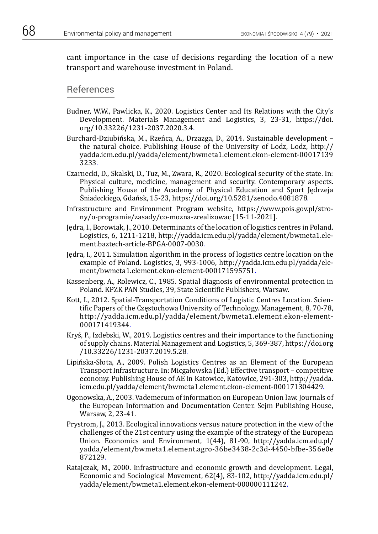cant importance in the case of decisions regarding the location of a new transport and warehouse investment in Poland.

#### References

- Budner, W.W., Pawlicka, K., 2020. Logistics Center and Its Relations with the City's Development. Materials Management and Logistics, 3, 23-31, https://doi. org/10.33226/1231-2037.2020.3.4.
- Burchard-Dziubińska, M., Rzeńca, A., Drzazga, D., 2014. Sustainable development the natural choice. Publishing House of the University of Lodz, Lodz, http:// yadda.icm.edu.pl/yadda/element/bwmeta1.element.ekon-element-00017139 3233.
- Czarnecki, D., Skalski, D., Tuz, M., Zwara, R., 2020. Ecological security of the state. In: Physical culture, medicine, management and security. Contemporary aspects. Publishing House of the Academy of Physical Education and Sport Jędrzeja Śniadeckiego, Gdańsk, 15-23, https://doi.org/10.5281/zenodo.4081878*.*
- Infrastructure and Environment Program website, https://www.pois.gov.pl/strony/o-programie/zasady/co-mozna-zrealizowac [15-11-2021].
- Jędra, I., Borowiak, J., 2010. Determinants of the location of logistics centres in Poland. Logistics, 6, 1211-1218, http://yadda.icm.edu.pl/yadda/element/bwmeta1.element.baztech-article-BPGA-0007-0030.
- Jędra, I., 2011. Simulation algorithm in the process of logistics centre location on the example of Poland. Logistics, 3, 993-1006, http://yadda.icm.edu.pl/yadda/element/bwmeta1.element.ekon-element-000171595751.
- Kassenberg, A., Rolewicz, C., 1985. Spatial diagnosis of environmental protection in Poland. KPZK PAN Studies, 39, State Scientific Publishers, Warsaw.
- Kott, I., 2012. Spatial-Transportation Conditions of Logistic Centres Location. Scientific Papers of the Częstochowa University of Technology. Management, 8, 70-78, http://yadda.icm.edu.pl/yadda/element/bwmeta1.element.ekon-element-000171419344.
- Kryś, P., Izdebski, W., 2019. Logistics centres and their importance to the functioning of supply chains. Material Management and Logistics, 5, 369-387, https://doi.org /10.33226/1231-2037.2019.5.28.
- Lipińska-Słota, A., 2009. Polish Logistics Centres as an Element of the European Transport Infrastructure. In: Micgałowska (Ed.) Effective transport – competitive economy. Publishing House of AE in Katowice, Katowice, 291-303, http://yadda. icm.edu.pl/yadda/element/bwmeta1.element.ekon-element-000171304429.
- Ogonowska, A., 2003. Vademecum of information on European Union law. Journals of the European Information and Documentation Center. Sejm Publishing House, Warsaw, 2, 23-41.
- Prystrom, J., 2013. Ecological innovations versus nature protection in the view of the challenges of the 21st century using the example of the strategy of the European Union. Economics and Environment, 1(44), 81-90, http://yadda.icm.edu.pl/ yadda/element/bwmeta1.element.agro-36be3438-2c3d-4450-bfbe-356e0e 872129.
- Ratajczak, M., 2000. Infrastructure and economic growth and development. Legal, Economic and Sociological Movement, 62(4), 83-102, http://yadda.icm.edu.pl/ yadda/element/bwmeta1.element.ekon-element-000000111242.